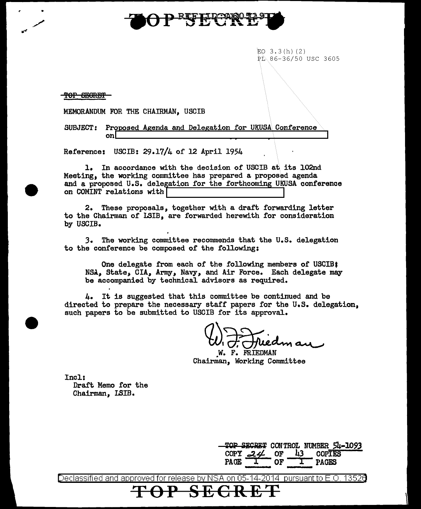

 $EO$  3.3(h) (2) PL 86-36/50 USC 3605

TOP SEGRET

MEMORANDUM FOR THE CHAIRMAN, USCIB

SUBJECT: Proposed Agenda and Delegation for UKUSA Conference on  $\Box$ 

Referencei USCIB: 29.17/4 of 12 April 1954

1. In accordance with the decision of USCIB at its l02nd Meeting, the working committee has prepared a proposed agenda and a proposed U.S. delegation for the forthcoming UKUSA conference on COMINT relations with

2. These proposals, together with a draft forwarding letter to the Chairman of LSIB, are forwarded herewith for consideration by USCIB.

J. The working conunittee reconunends that the U.S. delegation to the conference be composed of the following:

One delegate from each of the following members of USCIB: NSA, State, CIA, Army, Navy, and Air Force. Each delegate may be accompanied by technical advisors as required.

4. It is suggested that this committee be continued and be directed to prepare the necessary staff papers for the U.S. delegation. such papers to be submitted to USCIB for its approval.

W. D. Friedman

Chairman, Working Committee

Incl: Draft Memo for the Chairman, !SIB.

> TOP SECRET CONTROL NUMBER 54-1093<br>COPY 224 OF 43 COPIES COPY *c:J.¢* OF 43 COPIES  $\frac{COPY}{1}$  of  $\frac{43}{1}$  copies<br>PAGE  $\frac{1}{1}$  or  $\frac{1}{1}$  pages

Declassified and approved for release by NSA on 05-14-2014 pursuantto E.O. 1352a **TOP SECRET**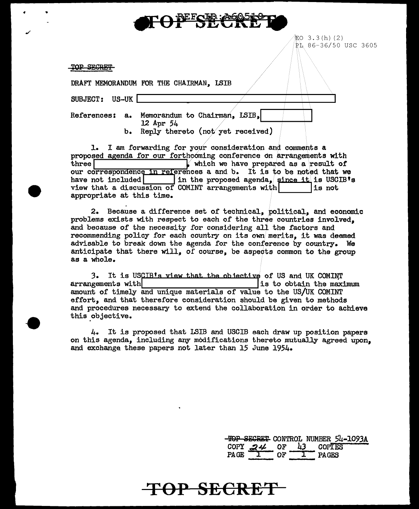$EO$  3.3 $(h)$  (2) PL 86-36/50 USC 3605

TOP SECRET

..

|                | DRAFT MEMORANDUM FOR THE CHAIRMAN, ISIB |                                                                                  |  |
|----------------|-----------------------------------------|----------------------------------------------------------------------------------|--|
| SUBJECT: US-UK |                                         |                                                                                  |  |
|                | $12$ Apr $54$<br>b.                     | References: a. Memorandum to Chairman, LSIB,<br>Reply thereto (not yet received) |  |

1. I am forwarding for your consideration and comments a proposed agenda for our forthcoming conference on arrangements with<br>three  $\begin{bmatrix} \cdot & \cdot & \cdot \\ \cdot & \cdot & \cdot \\ \cdot & \cdot & \cdot \\ \cdot & \cdot & \cdot \end{bmatrix}$  which we have prepared as a result of  $\mathbf y$  which we have prepared as a result of three  $\parallel$  which we have prepared as a result of<br>our correspondence in references a and b. It is to be noted that we<br>have not included  $\parallel$  in the proposed agenda, since it is USCIB's<br>view that a discussion of COMINT arra view that a discussion of COMINT arrangements with\_ I is not appropriate at this time.

- 2. Because a difference set of technical, political, and economic problems exists with respect to each of the three countries involved, and because of the necessity for considering all the factors and recommending policy for each country on its own merits, it was deemed advisable to break down the agenda for the conference by country. We anticipate that there will, of course, be aspects common to the group as a whole.

3. It is USCIB's view that the objective of US and UK COMINT arrangements with  $\frac{1}{1}$  is to obtain the maximum is to obtain the maximum amount of timely and unique materials of value to the US/UK COMINT effort, and that therefore consideration should be given to methods and procedures necessary to extend the collaboration in order to achieve this.objective.

4. It is proposed that LSIB and USCIB each draw up position papers on this agenda, including any modifications thereto mutually agreed upon. and exchange these papers not later than 15 June 1954.

> **TOP SECRET CONTROL NUMBER 54-1093A**<br>COPY 24 OF 43 COPTES COPY  $24$  OF PAGE I OF I PAGES

## **TOP SECRE**